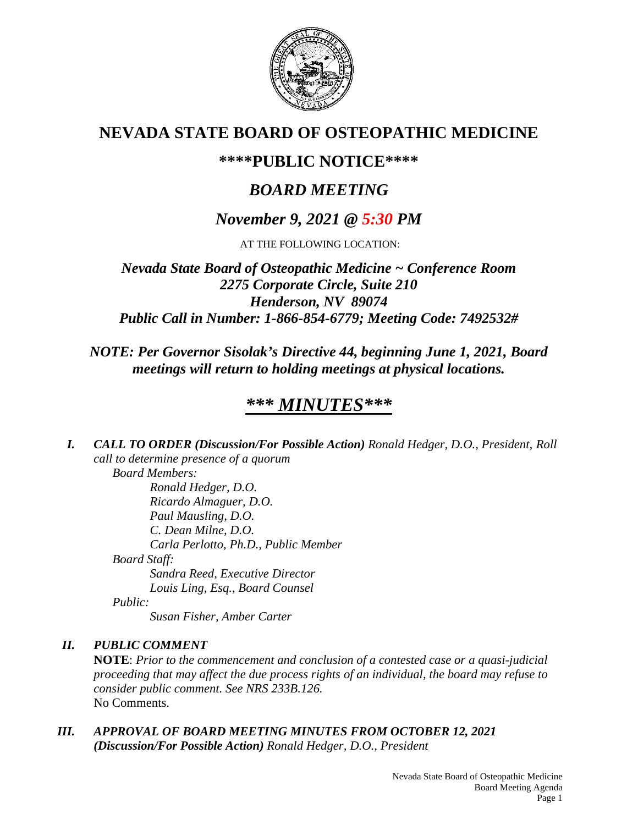

# **NEVADA STATE BOARD OF OSTEOPATHIC MEDICINE**

## **\*\*\*\*PUBLIC NOTICE\*\*\*\***

# *BOARD MEETING*

## *November 9, 2021 @ 5:30 PM*

AT THE FOLLOWING LOCATION:

*Nevada State Board of Osteopathic Medicine ~ Conference Room 2275 Corporate Circle, Suite 210 Henderson, NV 89074 Public Call in Number: 1-866-854-6779; Meeting Code: 7492532#*

## *NOTE: Per Governor Sisolak's Directive 44, beginning June 1, 2021, Board meetings will return to holding meetings at physical locations.*

# *\*\*\* MINUTES\*\*\**

*I. CALL TO ORDER (Discussion/For Possible Action) Ronald Hedger, D.O., President, Roll call to determine presence of a quorum Board Members:*

*Ronald Hedger, D.O. Ricardo Almaguer, D.O. Paul Mausling, D.O. C. Dean Milne, D.O. Carla Perlotto, Ph.D., Public Member Board Staff: Sandra Reed, Executive Director Louis Ling, Esq., Board Counsel*

*Public:*

*Susan Fisher, Amber Carter*

### *II. PUBLIC COMMENT*

**NOTE**: *Prior to the commencement and conclusion of a contested case or a quasi-judicial proceeding that may affect the due process rights of an individual, the board may refuse to consider public comment. See NRS 233B.126.* No Comments.

*III. APPROVAL OF BOARD MEETING MINUTES FROM OCTOBER 12, 2021 (Discussion/For Possible Action) Ronald Hedger, D.O., President*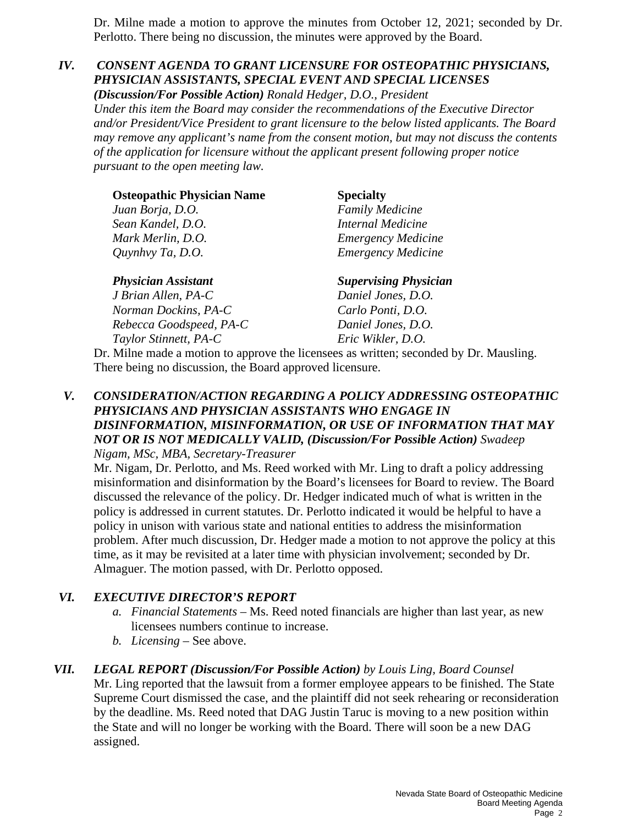Dr. Milne made a motion to approve the minutes from October 12, 2021; seconded by Dr. Perlotto. There being no discussion, the minutes were approved by the Board.

### *IV. CONSENT AGENDA TO GRANT LICENSURE FOR OSTEOPATHIC PHYSICIANS, PHYSICIAN ASSISTANTS, SPECIAL EVENT AND SPECIAL LICENSES*

*(Discussion/For Possible Action) Ronald Hedger, D.O., President Under this item the Board may consider the recommendations of the Executive Director and/or President/Vice President to grant licensure to the below listed applicants. The Board may remove any applicant's name from the consent motion, but may not discuss the contents of the application for licensure without the applicant present following proper notice pursuant to the open meeting law.*

| <b>Osteopathic Physician Name</b> | <b>Specialty</b>             |
|-----------------------------------|------------------------------|
| Juan Borja, D.O.                  | <b>Family Medicine</b>       |
| Sean Kandel, D.O.                 | Internal Medicine            |
| Mark Merlin, D.O.                 | <b>Emergency Medicine</b>    |
| Quynhvy Ta, D.O.                  | <b>Emergency Medicine</b>    |
| <b>Physician Assistant</b>        | <b>Supervising Physician</b> |
| J Brian Allen, PA-C               | Daniel Jones, D.O.           |
| Norman Dockins, PA-C              | Carlo Ponti, D.O.            |
| Rebecca Goodspeed, PA-C           | Daniel Jones, D.O.           |

*Taylor Stinnett, PA-C Eric Wikler, D.O.*

Dr. Milne made a motion to approve the licensees as written; seconded by Dr. Mausling. There being no discussion, the Board approved licensure.

#### *V. CONSIDERATION/ACTION REGARDING A POLICY ADDRESSING OSTEOPATHIC PHYSICIANS AND PHYSICIAN ASSISTANTS WHO ENGAGE IN DISINFORMATION, MISINFORMATION, OR USE OF INFORMATION THAT MAY NOT OR IS NOT MEDICALLY VALID, (Discussion/For Possible Action) Swadeep Nigam, MSc, MBA, Secretary-Treasurer*

Mr. Nigam, Dr. Perlotto, and Ms. Reed worked with Mr. Ling to draft a policy addressing misinformation and disinformation by the Board's licensees for Board to review. The Board discussed the relevance of the policy. Dr. Hedger indicated much of what is written in the policy is addressed in current statutes. Dr. Perlotto indicated it would be helpful to have a policy in unison with various state and national entities to address the misinformation problem. After much discussion, Dr. Hedger made a motion to not approve the policy at this time, as it may be revisited at a later time with physician involvement; seconded by Dr. Almaguer. The motion passed, with Dr. Perlotto opposed.

### *VI. EXECUTIVE DIRECTOR'S REPORT*

- *a. Financial Statements* Ms. Reed noted financials are higher than last year, as new licensees numbers continue to increase.
- *b. Licensing* See above.

### *VII. LEGAL REPORT (Discussion/For Possible Action) by Louis Ling, Board Counsel*

Mr. Ling reported that the lawsuit from a former employee appears to be finished. The State Supreme Court dismissed the case, and the plaintiff did not seek rehearing or reconsideration by the deadline. Ms. Reed noted that DAG Justin Taruc is moving to a new position within the State and will no longer be working with the Board. There will soon be a new DAG assigned.